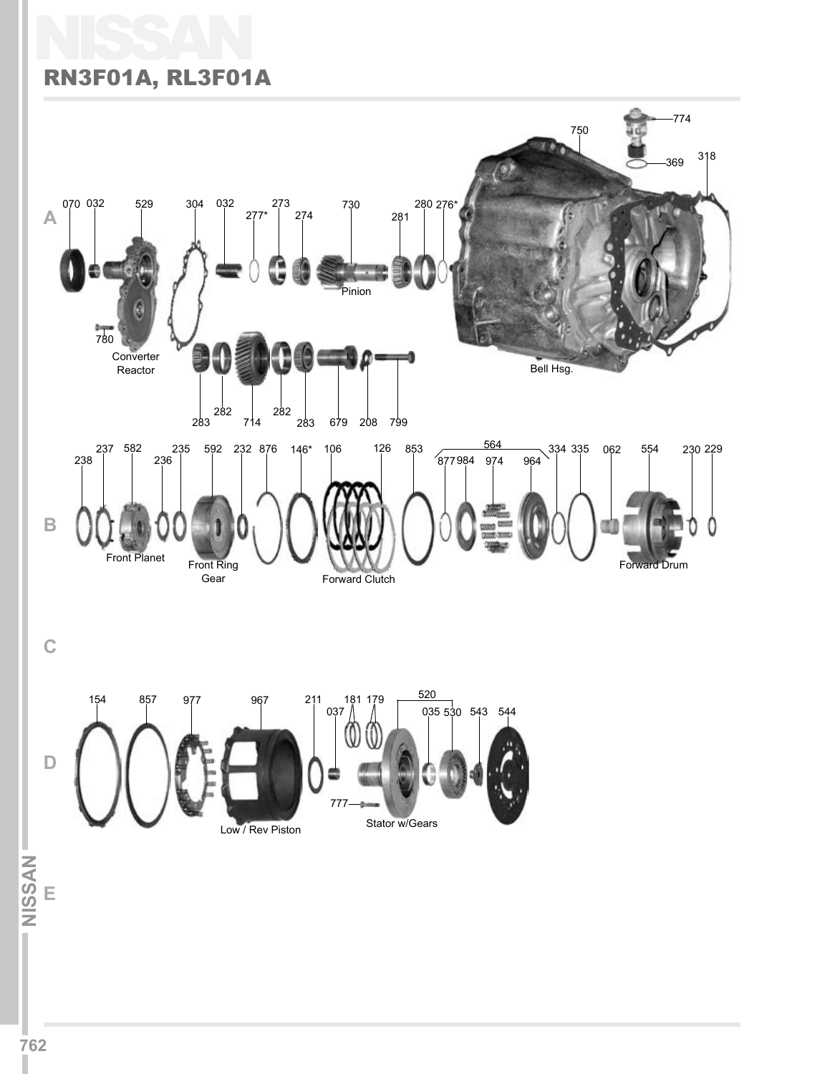# NISSAN RN3F01A, RL3F01A

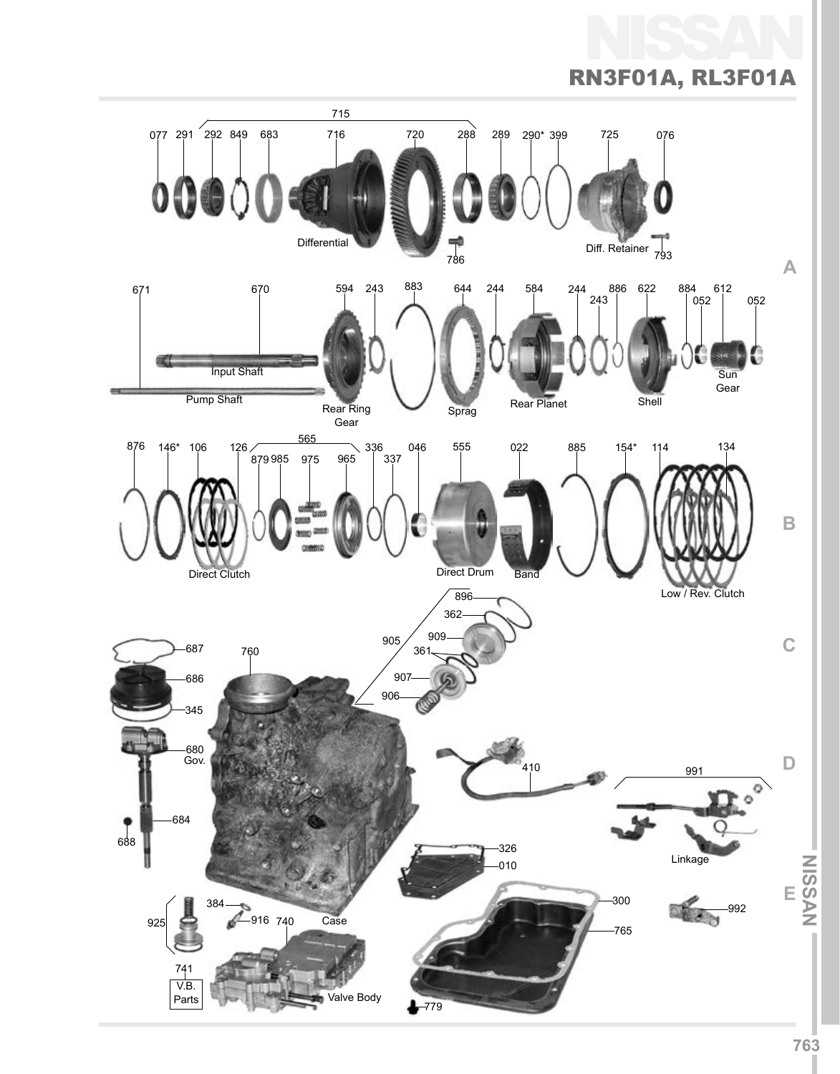NISSAN RN3F01A, RL3F01A

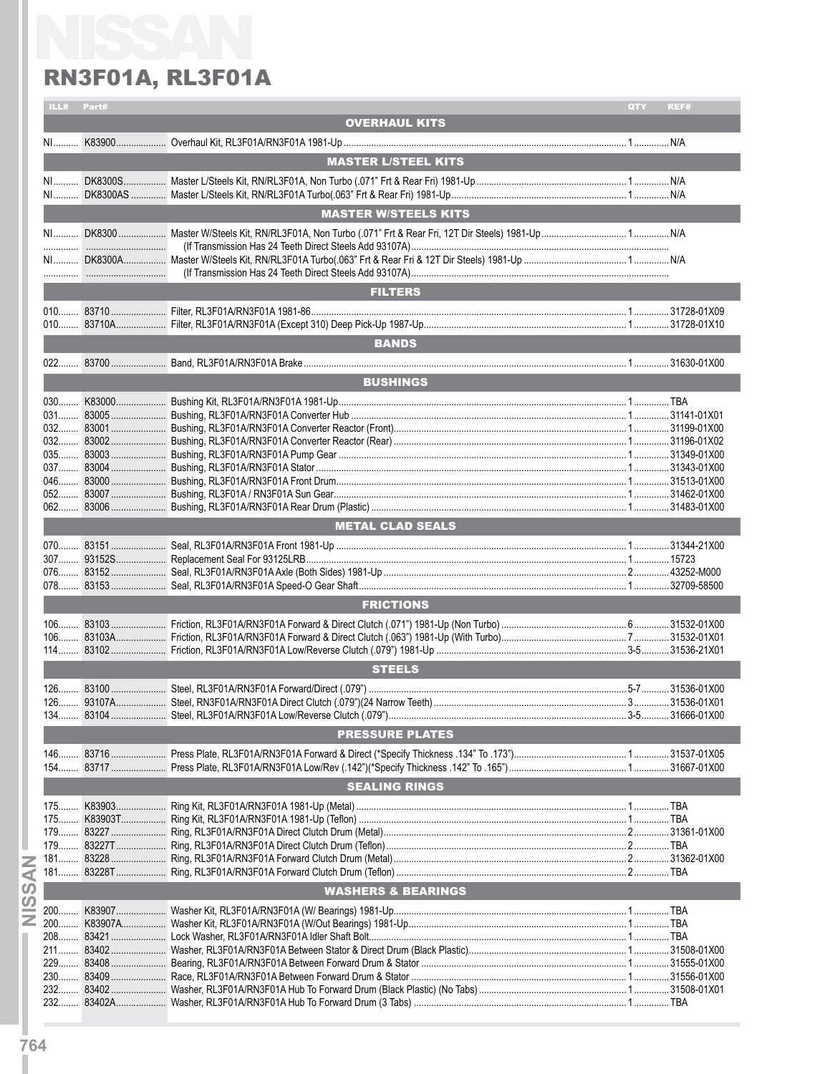|     | ILL# Part# |                               |     |      |
|-----|------------|-------------------------------|-----|------|
|     |            |                               | QTY | REF# |
|     |            | <b>OVERHAUL KITS</b>          |     |      |
|     |            |                               |     |      |
|     |            | <b>MASTER L/STEEL KITS</b>    |     |      |
|     |            |                               |     |      |
|     |            |                               |     |      |
|     |            | <b>MASTER W/STEELS KITS</b>   |     |      |
|     |            |                               |     |      |
|     |            |                               |     |      |
|     |            |                               |     |      |
|     |            | <b>FILTERS</b>                |     |      |
|     |            |                               |     |      |
|     |            |                               |     |      |
|     |            | <b>BANDS</b>                  |     |      |
|     |            |                               |     |      |
|     |            | <b>BUSHINGS</b>               |     |      |
|     |            |                               |     |      |
|     |            |                               |     |      |
|     |            |                               |     |      |
|     |            |                               |     |      |
|     |            |                               |     |      |
|     |            |                               |     |      |
|     |            |                               |     |      |
|     |            |                               |     |      |
|     |            | <b>METAL CLAD SEALS</b>       |     |      |
|     |            |                               |     |      |
|     |            |                               |     |      |
|     |            |                               |     |      |
|     |            |                               |     |      |
|     |            | <b>FRICTIONS</b>              |     |      |
|     |            |                               |     |      |
|     |            |                               |     |      |
|     |            |                               |     |      |
|     |            | <b>STEELS</b>                 |     |      |
|     |            |                               |     |      |
|     |            |                               |     |      |
|     |            | <b>PRESSURE PLATES</b>        |     |      |
|     |            |                               |     |      |
|     |            |                               |     |      |
|     |            | <b>SEALING RINGS</b>          |     |      |
|     |            |                               |     |      |
|     |            |                               |     |      |
|     |            |                               |     |      |
|     |            |                               |     |      |
|     |            |                               |     |      |
|     |            | <b>WASHERS &amp; BEARINGS</b> |     |      |
|     |            |                               |     |      |
| 200 |            |                               |     |      |
|     |            |                               |     |      |
|     |            |                               |     |      |
|     |            |                               |     |      |
|     |            |                               |     |      |
|     |            |                               |     |      |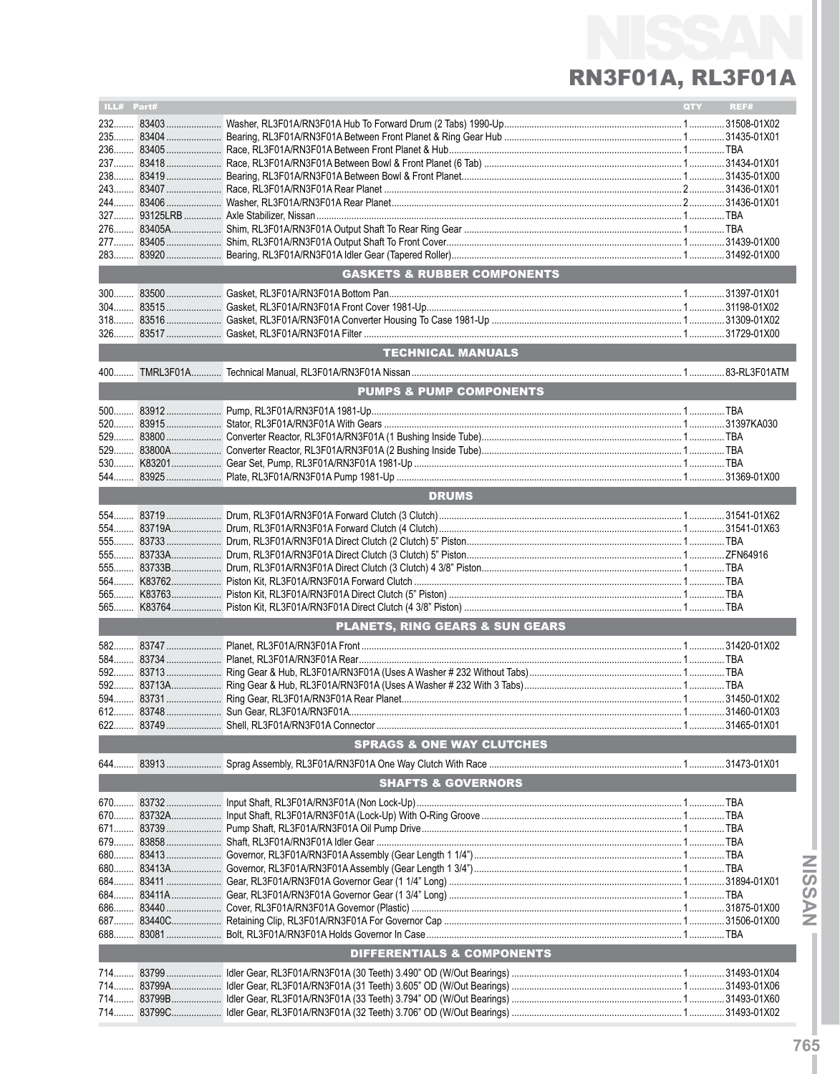| ILL# Part# |                                            | QTY <b>Q</b> | REF# |
|------------|--------------------------------------------|--------------|------|
|            |                                            |              |      |
|            |                                            |              |      |
|            |                                            |              |      |
|            |                                            |              |      |
|            |                                            |              |      |
|            |                                            |              |      |
|            |                                            |              |      |
|            |                                            |              |      |
|            |                                            |              |      |
|            |                                            |              |      |
|            |                                            |              |      |
|            | <b>GASKETS &amp; RUBBER COMPONENTS</b>     |              |      |
|            |                                            |              |      |
|            |                                            |              |      |
|            |                                            |              |      |
|            |                                            |              |      |
|            | <b>TECHNICAL MANUALS</b>                   |              |      |
|            |                                            |              |      |
|            | PUMPS & PUMP COMPONENTS                    |              |      |
|            |                                            |              |      |
|            |                                            |              |      |
|            |                                            |              |      |
|            |                                            |              |      |
|            |                                            |              |      |
| 544        |                                            |              |      |
|            | <b>DRUMS</b>                               |              |      |
|            |                                            |              |      |
|            |                                            |              |      |
|            |                                            |              |      |
|            |                                            |              |      |
|            |                                            |              |      |
|            |                                            |              |      |
|            |                                            |              |      |
| 565        |                                            |              |      |
|            | <b>PLANETS. RING GEARS &amp; SUN GEARS</b> |              |      |
|            |                                            |              |      |
|            |                                            |              |      |
|            |                                            |              |      |
|            |                                            |              |      |
|            |                                            |              |      |
| 612 83748. |                                            |              |      |
|            |                                            |              |      |
|            | <b>SPRAGS &amp; ONE WAY CLUTCHES</b>       |              |      |
|            |                                            |              |      |
|            | <b>SHAFTS &amp; GOVERNORS</b>              |              |      |
|            |                                            |              |      |
|            |                                            |              |      |
|            |                                            |              |      |
|            |                                            |              |      |
|            |                                            |              |      |
|            |                                            |              |      |
|            |                                            |              |      |
|            |                                            |              |      |
|            |                                            |              |      |
|            |                                            |              |      |
|            |                                            |              |      |
|            | DIFFERENTIALS & COMPONENTS                 |              |      |
|            |                                            |              |      |
|            |                                            |              |      |
|            |                                            |              |      |
| 714        |                                            |              |      |

NVSSIN-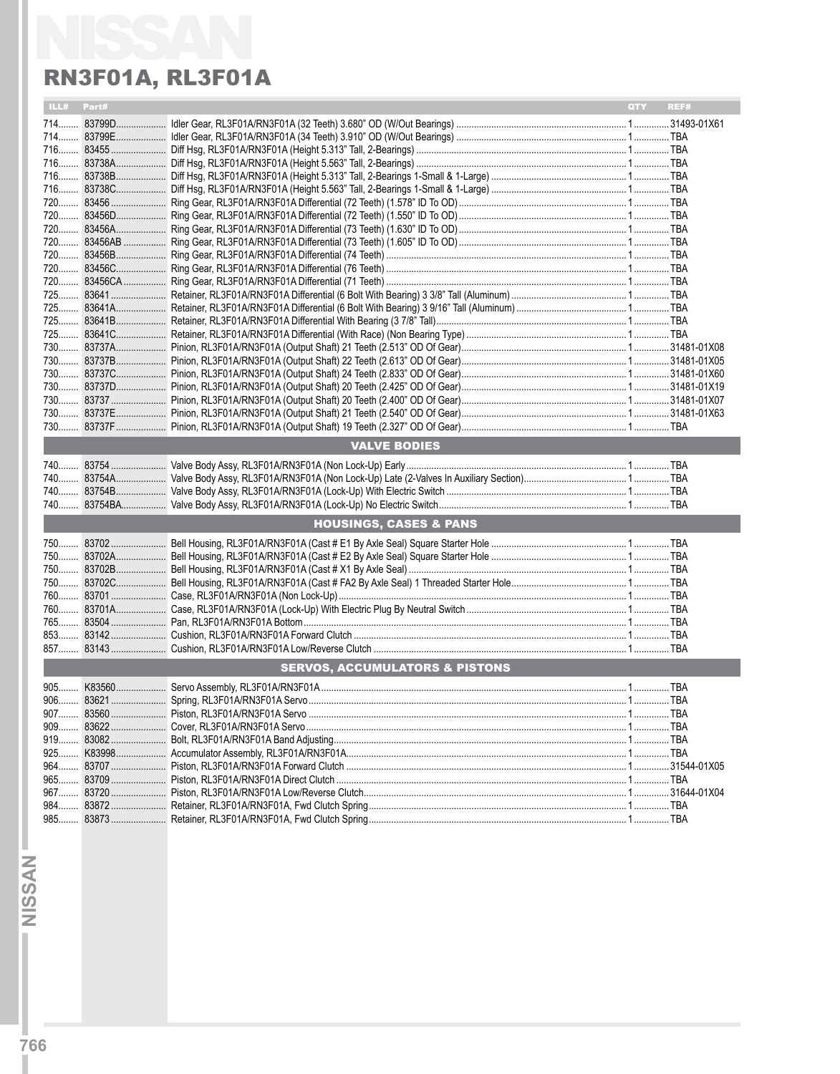| ILL# Part# |                                           | <b>QTY</b><br>REF# |
|------------|-------------------------------------------|--------------------|
|            |                                           |                    |
|            |                                           |                    |
|            |                                           |                    |
|            |                                           |                    |
|            |                                           |                    |
|            |                                           |                    |
|            |                                           |                    |
|            |                                           |                    |
|            |                                           |                    |
|            |                                           |                    |
|            |                                           |                    |
|            |                                           |                    |
|            |                                           |                    |
|            |                                           |                    |
|            |                                           |                    |
|            |                                           |                    |
|            |                                           |                    |
|            |                                           |                    |
|            |                                           |                    |
|            |                                           |                    |
|            |                                           |                    |
|            |                                           |                    |
|            |                                           |                    |
|            | <b>VALVE BODIES</b>                       |                    |
|            |                                           |                    |
|            |                                           |                    |
|            |                                           |                    |
|            |                                           |                    |
|            | <b>HOUSINGS, CASES &amp; PANS</b>         |                    |
|            |                                           |                    |
|            |                                           |                    |
|            |                                           |                    |
|            |                                           |                    |
|            |                                           |                    |
|            |                                           |                    |
|            |                                           |                    |
|            |                                           |                    |
|            |                                           |                    |
|            | <b>SERVOS, ACCUMULATORS &amp; PISTONS</b> |                    |
|            |                                           |                    |
|            |                                           |                    |
|            |                                           |                    |
|            |                                           |                    |
|            |                                           |                    |
|            |                                           |                    |
|            |                                           |                    |
|            |                                           |                    |
|            |                                           |                    |
|            |                                           |                    |
|            |                                           |                    |